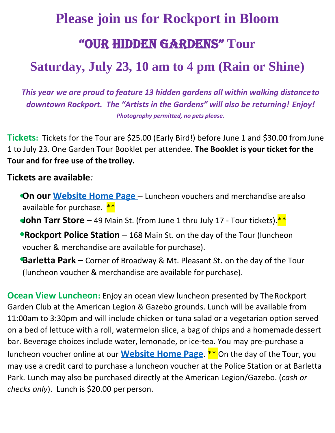## **Please join us for Rockport in Bloom** "Our Hidden Gardens" **Tour**

## **Saturday, July 23, 10 am to 4 pm (Rain or Shine)**

*This year we are proud to feature 13 hidden gardens all within walking distanceto downtown Rockport. The "Artists in the Gardens" will also be returning! Enjoy! Photography permitted, no pets please.*

**Tickets:** Tickets for the Tour are \$25.00 (Early Bird!) before June 1 and \$30.00 fromJune 1 to July 23. One Garden Tour Booklet per attendee. **The Booklet is your ticket for the Tour and for free use of the trolley.**

## **Tickets are available***:*

- **On our Website Home Page** Luncheon vouchers and merchandise arealso available for purchase.  $**$
- **John Tarr Store** 49 Main St. (from June 1 thru July 17 Tour tickets).<sup>\*\*</sup>
- **Rockport Police Station**  168 Main St. on the day of the Tour (luncheon voucher & merchandise are available for purchase).
- **Barletta Park –** Corner of Broadway & Mt. Pleasant St. on the day of the Tour (luncheon voucher & merchandise are available for purchase).

**Ocean View Luncheon:** Enjoy an ocean view luncheon presented by The Rockport Garden Club at the American Legion & Gazebo grounds. Lunch will be available from 11:00am to 3:30pm and will include chicken or tuna salad or a vegetarian option served on a bed of lettuce with a roll, watermelon slice, a bag of chips and a homemade dessert bar. Beverage choices include water, lemonade, or ice-tea. You may pre-purchase a luncheon voucher online at our **[Website Home Page](https://rockportgardenclub.org/)**. \*\* On the day of the Tour, you may use a credit card to purchase a luncheon voucher at the Police Station or at Barletta Park. Lunch may also be purchased directly at the American Legion/Gazebo. (*cash or checks only*). Lunch is \$20.00 per person.